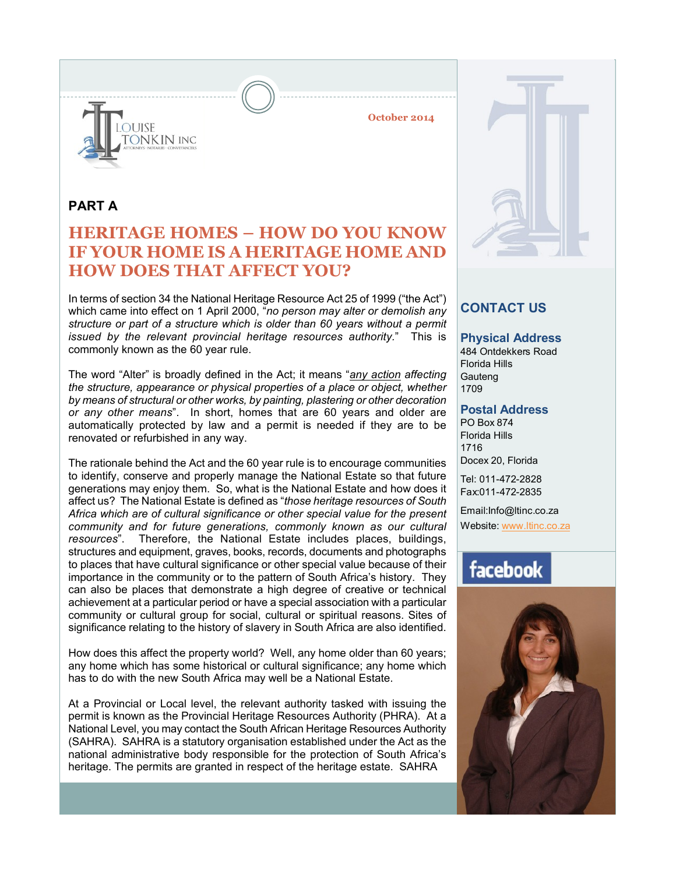

**October 2014**

### **PART A**

# **HERITAGE HOMES – HOW DO YOU KNOW IF YOUR HOME IS A HERITAGE HOME AND HOW DOES THAT AFFECT YOU?**

In terms of section 34 the National Heritage Resource Act 25 of 1999 ("the Act") which came into effect on 1 April 2000, "*no person may alter or demolish any structure or part of a structure which is older than 60 years without a permit issued by the relevant provincial heritage resources authority.*" This is commonly known as the 60 year rule.

The word "Alter" is broadly defined in the Act; it means "*any action affecting the structure, appearance or physical properties of a place or object, whether by means of structural or other works, by painting, plastering or other decoration or any other means*". In short, homes that are 60 years and older are automatically protected by law and a permit is needed if they are to be renovated or refurbished in any way.

The rationale behind the Act and the 60 year rule is to encourage communities to identify, conserve and properly manage the National Estate so that future generations may enjoy them. So, what is the National Estate and how does it affect us? The National Estate is defined as "*those heritage resources of South Africa which are of cultural significance or other special value for the present community and for future generations, commonly known as our cultural resources*". Therefore, the National Estate includes places, buildings, structures and equipment, graves, books, records, documents and photographs to places that have cultural significance or other special value because of their importance in the community or to the pattern of South Africa's history. They can also be places that demonstrate a high degree of creative or technical achievement at a particular period or have a special association with a particular community or cultural group for social, cultural or spiritual reasons. Sites of significance relating to the history of slavery in South Africa are also identified.

How does this affect the property world? Well, any home older than 60 years; any home which has some historical or cultural significance; any home which has to do with the new South Africa may well be a National Estate.

At a Provincial or Local level, the relevant authority tasked with issuing the permit is known as the Provincial Heritage Resources Authority (PHRA). At a National Level, you may contact the South African Heritage Resources Authority (SAHRA). SAHRA is a statutory organisation established under the Act as the national administrative body responsible for the protection of South Africa's heritage. The permits are granted in respect of the heritage estate. SAHRA

## **CONTACT US**

#### **Physical Address**

484 Ontdekkers Road Florida Hills **Gauteng** 1709

#### **Postal Address**

PO Box 874 Florida Hills 1716 Docex 20, Florida

Tel: 011-472-2828 Fax:011-472-2835

Email:Info@ltinc.co.za

Website: www.ltinc.co.za

# facebook